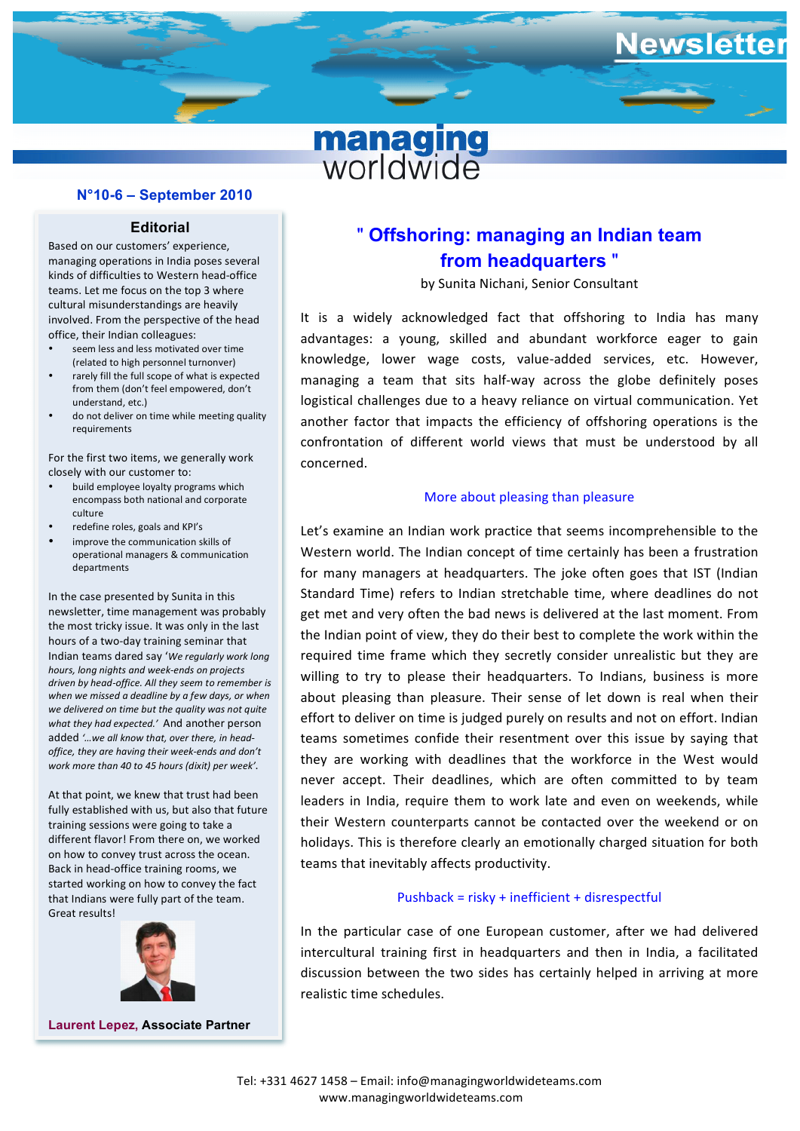## **N°10-6 – September 2010**

#### **Editorial**

Based on our customers' experience. managing operations in India poses several kinds of difficulties to Western head-office teams. Let me focus on the top 3 where cultural misunderstandings are heavily involved. From the perspective of the head office, their Indian colleagues:

- seem less and less motivated over time (related to high personnel turnonver)
- from them (don't feel empowered, don't rarely fill the full scope of what is expected understand, etc.)
- do not deliver on time while meeting quality requirements

For the first two items, we generally work closely with our customer to:

- build employee loyalty programs which encompass both national and corporate culture
- redefine roles, goals and KPI's
- improve the communication skills of operational managers & communication departments

In the case presented by Sunita in this newsletter, time management was probably the most tricky issue. It was only in the last hours of a two-day training seminar that Indian teams dared say 'We regularly work long *hours, long nights and week-ends on projects*  driven by head-office. All they seem to remember is when we missed a deadline by a few days, or when we delivered on time but the quality was not quite what they had expected.' And another person added '...we all know that, over there, in head*office, they are having their week-ends and don't work more than 40 to 45 hours (dixit) per week'*.

At that point, we knew that trust had been fully established with us, but also that future training sessions were going to take a different flavor! From there on, we worked on how to convey trust across the ocean. Back in head-office training rooms, we started working on how to convey the fact that Indians were fully part of the team. Great results!



**Laurent Lepez, Associate Partner**

# " **Offshoring: managing an Indian team from headquarters** "

managing worldwide

wsletter

by Sunita Nichani, Senior Consultant

d **induce** it is a widely acknowledged fact that offshoring to India has many **fightion Confrontation** of different world views that must be understood by all confrontation of different world views that must be understood by all advantages: a young, skilled and abundant workforce eager to gain knowledge, lower wage costs, value-added services, etc. However, managing a team that sits half-way across the globe definitely poses logistical challenges due to a heavy reliance on virtual communication. Yet another factor that impacts the efficiency of offshoring operations is the concerned.

## More about pleasing than pleasure

développement des compétes, la compéte de la compéte de la compéte de la compéte de la compéte de la compéte d  $\alpha$  and seems mean premission to the d'Ivoire, France et Pologne. Elle  $\frac{1}{2}$  interview of the subsets and  $\frac{1}{2}$  designation communication de management de management de management de management rent the bad news is denvered at the last moment. Home the Indian point of view, they do their best to complete the work within the which they secretly consider unrealistic be about pleasing than pleasure. Their sense of let down is real when their teams sometimes confide their resentment over this issue by saying that they are working with deadlines that the workforce in the West would never accept. Their deadlines, which are often committed to by team leaders in India, require them to work late and even on weekends, while their Western counterparts cannot be contacted over the weekend or on holidays. This is therefore clearly an emotionally charged situation for both teams that inevitably affects productivity. Let's examine an Indian work practice that seems incomprehensible to the Western world. The Indian concept of time certainly has been a frustration for many managers at headquarters. The joke often goes that IST (Indian Standard Time) refers to Indian stretchable time, where deadlines do not get met and very often the bad news is delivered at the last moment. From required time frame which they secretly consider unrealistic but they are willing to try to please their headquarters. To Indians, business is more effort to deliver on time is judged purely on results and not on effort. Indian

## Pushback = risky + inefficient + disrespectful

In the particular case of one European customer, after we had delivered intercultural training first in headquarters and then in India, a facilitated discussion between the two sides has certainly helped in arriving at more realistic time schedules.